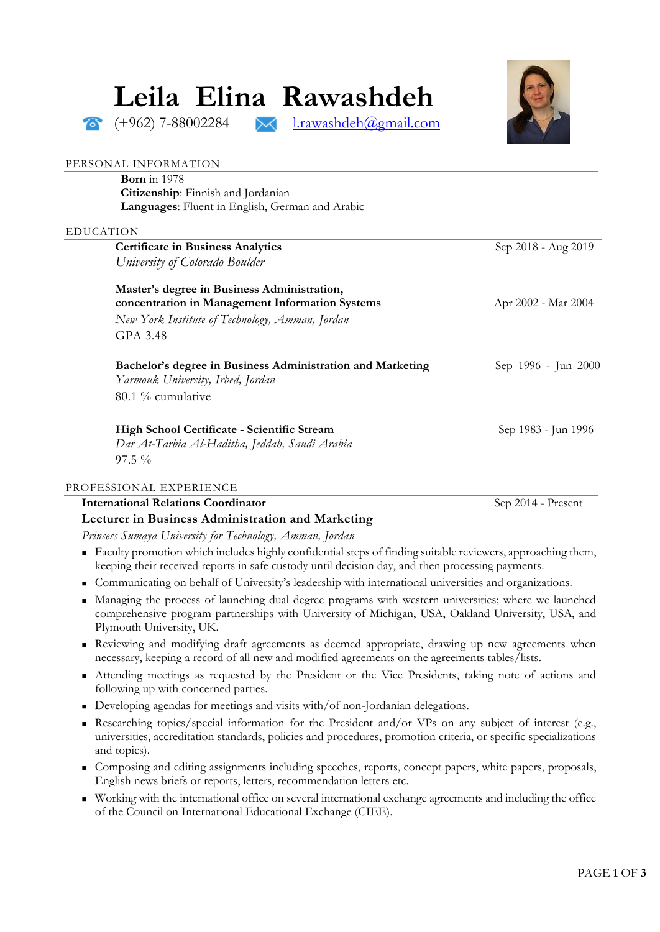# **Leila Elina Rawashdeh**

 $(+962)$  7-88002284  $\rightarrow$  [l.rawashdeh@gmail.com](mailto:l.rawashdeh@gmail.com)



#### PERSONAL INFORMATION

**Born** in 1978 **Citizenship**: Finnish and Jordanian **Languages**: Fluent in English, German and Arabic

## EDUCATION

| <b>Certificate in Business Analytics</b>                                                       | Sep 2018 - Aug 2019 |
|------------------------------------------------------------------------------------------------|---------------------|
| University of Colorado Boulder                                                                 |                     |
|                                                                                                |                     |
| Master's degree in Business Administration,<br>concentration in Management Information Systems | Apr 2002 - Mar 2004 |
|                                                                                                |                     |
| New York Institute of Technology, Amman, Jordan                                                |                     |
| GPA 3.48                                                                                       |                     |
| Bachelor's degree in Business Administration and Marketing                                     | Sep 1996 - Jun 2000 |
| Yarmouk University, Irbed, Jordan                                                              |                     |
| $80.1\%$ cumulative                                                                            |                     |
|                                                                                                |                     |
| High School Certificate - Scientific Stream                                                    | Sep 1983 - Jun 1996 |
| Dar At-Tarbia Al-Haditha, Jeddah, Saudi Arabia                                                 |                     |
| $97.5\%$                                                                                       |                     |
|                                                                                                |                     |

## PROFESSIONAL EXPERIENCE

| <b>International Relations Coordinator</b>             | Sep 2014 - Present |
|--------------------------------------------------------|--------------------|
| Lecturer in Business Administration and Marketing      |                    |
| Princess Sumaya University for Technology Amman Jordan |                    |

*Princess Sumaya University for Technology, Amman, Jordan*

- Faculty promotion which includes highly confidential steps of finding suitable reviewers, approaching them, keeping their received reports in safe custody until decision day, and then processing payments.
- Communicating on behalf of University's leadership with international universities and organizations.
- Managing the process of launching dual degree programs with western universities; where we launched comprehensive program partnerships with University of Michigan, USA, Oakland University, USA, and Plymouth University, UK.
- Reviewing and modifying draft agreements as deemed appropriate, drawing up new agreements when necessary, keeping a record of all new and modified agreements on the agreements tables/lists.
- Attending meetings as requested by the President or the Vice Presidents, taking note of actions and following up with concerned parties.
- Developing agendas for meetings and visits with/of non-Jordanian delegations.
- Researching topics/special information for the President and/or VPs on any subject of interest (e.g., universities, accreditation standards, policies and procedures, promotion criteria, or specific specializations and topics).
- Composing and editing assignments including speeches, reports, concept papers, white papers, proposals, English news briefs or reports, letters, recommendation letters etc.
- Working with the international office on several international exchange agreements and including the office of the Council on International Educational Exchange (CIEE).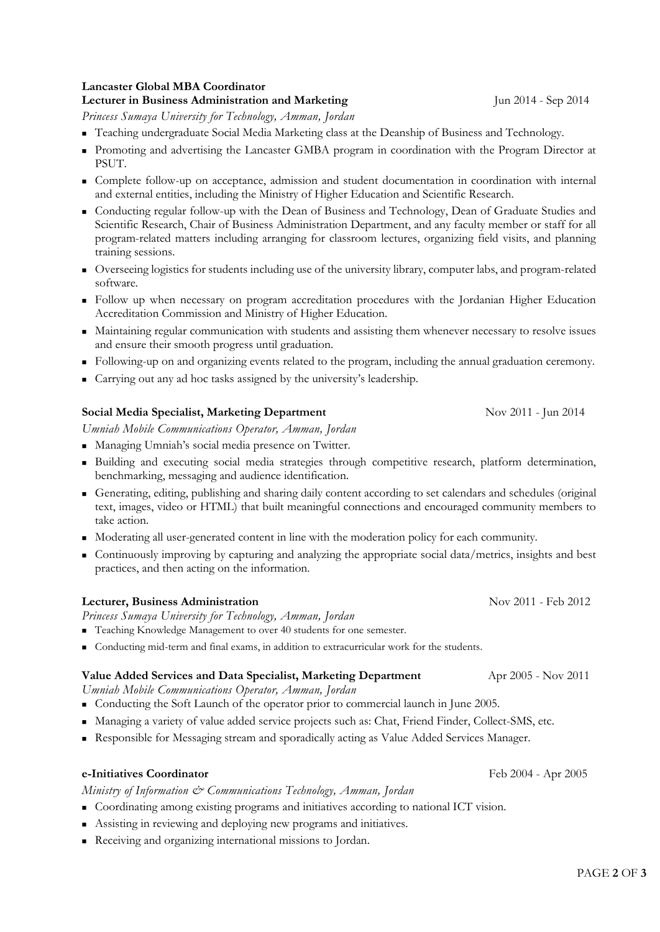## **Lancaster Global MBA Coordinator**

## **Lecturer in Business Administration and Marketing** Jun 2014 - Sep 2014

*Princess Sumaya University for Technology, Amman, Jordan*

- Teaching undergraduate Social Media Marketing class at the Deanship of Business and Technology.
- Promoting and advertising the Lancaster GMBA program in coordination with the Program Director at PSUT.
- Complete follow-up on acceptance, admission and student documentation in coordination with internal and external entities, including the Ministry of Higher Education and Scientific Research.
- Conducting regular follow-up with the Dean of Business and Technology, Dean of Graduate Studies and Scientific Research, Chair of Business Administration Department, and any faculty member or staff for all program-related matters including arranging for classroom lectures, organizing field visits, and planning training sessions.
- Overseeing logistics for students including use of the university library, computer labs, and program-related software.
- Follow up when necessary on program accreditation procedures with the Jordanian Higher Education Accreditation Commission and Ministry of Higher Education.
- Maintaining regular communication with students and assisting them whenever necessary to resolve issues and ensure their smooth progress until graduation.
- Following-up on and organizing events related to the program, including the annual graduation ceremony.
- Carrying out any ad hoc tasks assigned by the university's leadership.

## **Social Media Specialist, Marketing Department Nov 2011** - Jun 2014

*Umniah Mobile Communications Operator, Amman, Jordan*

- Managing Umniah's social media presence on Twitter.
- Building and executing social media strategies through competitive research, platform determination, benchmarking, messaging and audience identification.
- Generating, editing, publishing and sharing daily content according to set calendars and schedules (original text, images, video or HTML) that built meaningful connections and encouraged community members to take action.
- Moderating all user-generated content in line with the moderation policy for each community.
- Continuously improving by capturing and analyzing the appropriate social data/metrics, insights and best practices, and then acting on the information.

## **Lecturer, Business Administration** Nov 2011 - Feb 2012

*Princess Sumaya University for Technology, Amman, Jordan*

- Teaching Knowledge Management to over 40 students for one semester.
- Conducting mid-term and final exams, in addition to extracurricular work for the students.

#### **Value Added Services and Data Specialist, Marketing Department** Apr 2005 - Nov 2011

*Umniah Mobile Communications Operator, Amman, Jordan*

- Conducting the Soft Launch of the operator prior to commercial launch in June 2005.
- Managing a variety of value added service projects such as: Chat, Friend Finder, Collect-SMS, etc.
- Responsible for Messaging stream and sporadically acting as Value Added Services Manager.

# **e-Initiatives Coordinator**Feb 2004 - Apr 2005

*Ministry of Information & Communications Technology, Amman, Jordan*

- Coordinating among existing programs and initiatives according to national ICT vision.
- Assisting in reviewing and deploying new programs and initiatives.
- Receiving and organizing international missions to Jordan.